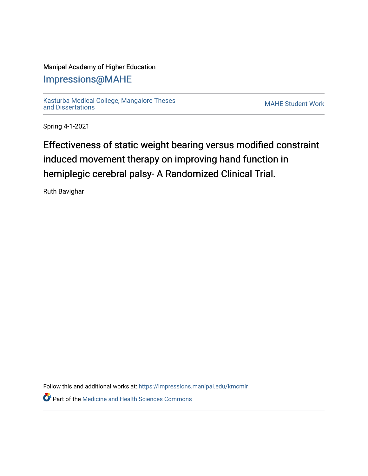## Manipal Academy of Higher Education

## [Impressions@MAHE](https://impressions.manipal.edu/)

[Kasturba Medical College, Mangalore Theses](https://impressions.manipal.edu/kmcmlr) [and Dissertations](https://impressions.manipal.edu/kmcmlr) [MAHE Student Work](https://impressions.manipal.edu/student-work) 

Spring 4-1-2021

## Effectiveness of static weight bearing versus modified constraint induced movement therapy on improving hand function in hemiplegic cerebral palsy- A Randomized Clinical Trial.

Ruth Bavighar

Follow this and additional works at: [https://impressions.manipal.edu/kmcmlr](https://impressions.manipal.edu/kmcmlr?utm_source=impressions.manipal.edu%2Fkmcmlr%2F72&utm_medium=PDF&utm_campaign=PDFCoverPages) 

**P** Part of the Medicine and Health Sciences Commons